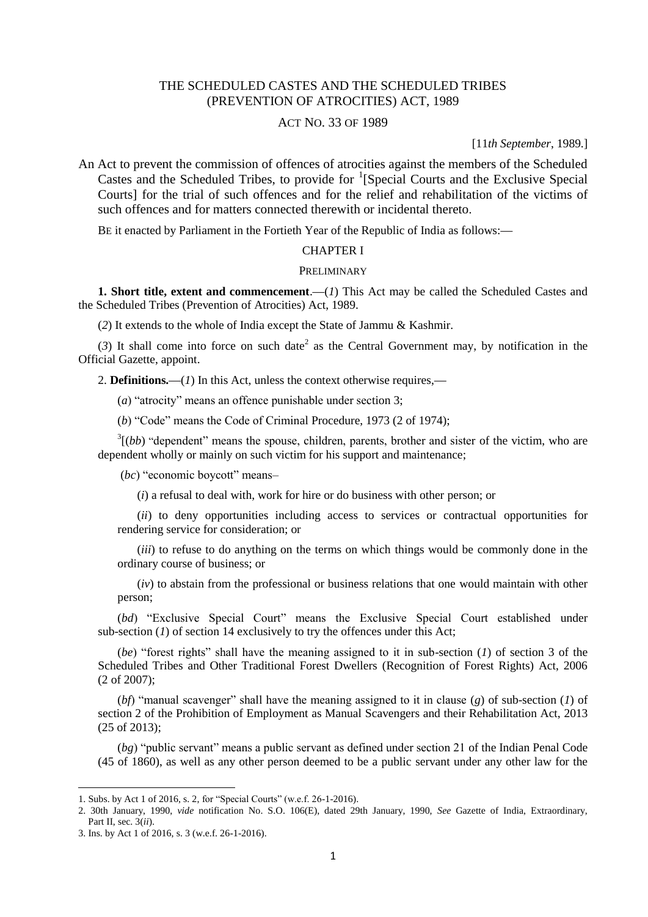# THE SCHEDULED CASTES AND THE SCHEDULED TRIBES (PREVENTION OF ATROCITIES) ACT, 1989

## ACT NO. 33 OF 1989

[11*th September*, 1989.]

An Act to prevent the commission of offences of atrocities against the members of the Scheduled Castes and the Scheduled Tribes, to provide for  ${}^{1}$ [Special Courts and the Exclusive Special Courts] for the trial of such offences and for the relief and rehabilitation of the victims of such offences and for matters connected therewith or incidental thereto.

BE it enacted by Parliament in the Fortieth Year of the Republic of India as follows:**—**

## CHAPTER I

### PRELIMINARY

**1. Short title, extent and commencement**.**—**(*1*) This Act may be called the Scheduled Castes and the Scheduled Tribes (Prevention of Atrocities) Act, 1989.

(*2*) It extends to the whole of India except the State of Jammu & Kashmir.

(3) It shall come into force on such date<sup>2</sup> as the Central Government may, by notification in the Official Gazette, appoint.

2. **Definitions.—**(*1*) In this Act, unless the context otherwise requires,**—**

(*a*) "atrocity" means an offence punishable under section 3;

(*b*) "Code" means the Code of Criminal Procedure, 1973 (2 of 1974);

 $3( (bb)$  "dependent" means the spouse, children, parents, brother and sister of the victim, who are dependent wholly or mainly on such victim for his support and maintenance;

(*bc*) "economic boycott" means–

(*i*) a refusal to deal with, work for hire or do business with other person; or

(*ii*) to deny opportunities including access to services or contractual opportunities for rendering service for consideration; or

(*iii*) to refuse to do anything on the terms on which things would be commonly done in the ordinary course of business; or

(*iv*) to abstain from the professional or business relations that one would maintain with other person;

(bd) "Exclusive Special Court" means the Exclusive Special Court established under sub-section (*1*) of section 14 exclusively to try the offences under this Act;

 $(be)$  "forest rights" shall have the meaning assigned to it in sub-section  $(1)$  of section 3 of the Scheduled Tribes and Other Traditional Forest Dwellers (Recognition of Forest Rights) Act, 2006 (2 of 2007);

(*bf*) "manual scavenger" shall have the meaning assigned to it in clause (*g*) of sub-section (*I*) of section 2 of the Prohibition of Employment as Manual Scavengers and their Rehabilitation Act, 2013 (25 of 2013);

(*bg*) "public servant" means a public servant as defined under section 21 of the Indian Penal Code (45 of 1860), as well as any other person deemed to be a public servant under any other law for the

<sup>1.</sup> Subs. by Act 1 of 2016, s. 2, for "Special Courts" (w.e.f. 26-1-2016).

<sup>2. 30</sup>th January, 1990, *vide* notification No. S.O. 106(E), dated 29th January, 1990, *See* Gazette of India, Extraordinary, Part II, sec. 3(*ii*).

<sup>3.</sup> Ins. by Act 1 of 2016, s. 3 (w.e.f. 26-1-2016).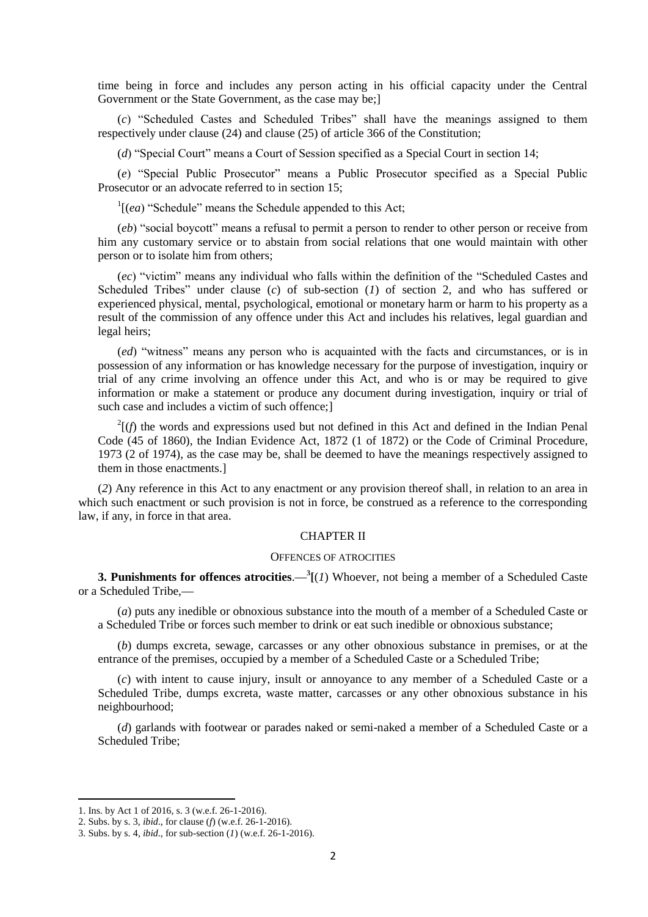time being in force and includes any person acting in his official capacity under the Central Government or the State Government, as the case may be;

(*c*) "Scheduled Castes and Scheduled Tribes" shall have the meanings assigned to them respectively under clause (24) and clause (25) of article 366 of the Constitution;

(*d*) "Special Court" means a Court of Session specified as a Special Court in section 14;

(*e*) "Special Public Prosecutor" means a Public Prosecutor specified as a Special Public Prosecutor or an advocate referred to in section 15;

 $\frac{1}{e^{a}}$  (*ea*) "Schedule" means the Schedule appended to this Act;

(*eb*) "social boycott" means a refusal to permit a person to render to other person or receive from him any customary service or to abstain from social relations that one would maintain with other person or to isolate him from others;

(*ec*) "victim" means any individual who falls within the definition of the "Scheduled Castes and Scheduled Tribes" under clause (*c*) of sub-section (*1*) of section 2, and who has suffered or experienced physical, mental, psychological, emotional or monetary harm or harm to his property as a result of the commission of any offence under this Act and includes his relatives, legal guardian and legal heirs;

(*ed*) "witness" means any person who is acquainted with the facts and circumstances, or is in possession of any information or has knowledge necessary for the purpose of investigation, inquiry or trial of any crime involving an offence under this Act, and who is or may be required to give information or make a statement or produce any document during investigation, inquiry or trial of such case and includes a victim of such offence;]

 $2(f)$  the words and expressions used but not defined in this Act and defined in the Indian Penal Code (45 of 1860), the Indian Evidence Act, 1872 (1 of 1872) or the Code of Criminal Procedure, 1973 (2 of 1974), as the case may be, shall be deemed to have the meanings respectively assigned to them in those enactments.]

(*2*) Any reference in this Act to any enactment or any provision thereof shall, in relation to an area in which such enactment or such provision is not in force, be construed as a reference to the corresponding law, if any, in force in that area.

## CHAPTER II

# OFFENCES OF ATROCITIES

**3. Punishments for offences atrocities**.**—<sup>3</sup> [**(*1*) Whoever, not being a member of a Scheduled Caste or a Scheduled Tribe,**—**

(*a*) puts any inedible or obnoxious substance into the mouth of a member of a Scheduled Caste or a Scheduled Tribe or forces such member to drink or eat such inedible or obnoxious substance;

(*b*) dumps excreta, sewage, carcasses or any other obnoxious substance in premises, or at the entrance of the premises, occupied by a member of a Scheduled Caste or a Scheduled Tribe;

(*c*) with intent to cause injury, insult or annoyance to any member of a Scheduled Caste or a Scheduled Tribe, dumps excreta, waste matter, carcasses or any other obnoxious substance in his neighbourhood;

(*d*) garlands with footwear or parades naked or semi-naked a member of a Scheduled Caste or a Scheduled Tribe;

<sup>1.</sup> Ins. by Act 1 of 2016, s. 3 (w.e.f. 26-1-2016).

<sup>2.</sup> Subs. by s. 3, *ibid*., for clause (*f*) (w.e.f. 26-1-2016).

<sup>3.</sup> Subs. by s. 4, *ibid*., for sub-section (*1*) (w.e.f. 26-1-2016).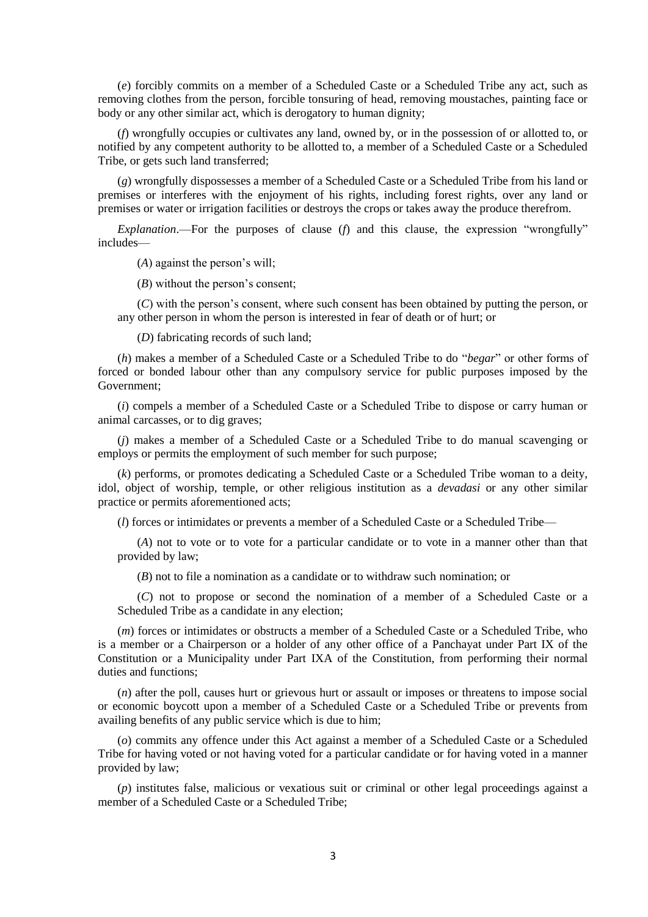(*e*) forcibly commits on a member of a Scheduled Caste or a Scheduled Tribe any act, such as removing clothes from the person, forcible tonsuring of head, removing moustaches, painting face or body or any other similar act, which is derogatory to human dignity;

(*f*) wrongfully occupies or cultivates any land, owned by, or in the possession of or allotted to, or notified by any competent authority to be allotted to, a member of a Scheduled Caste or a Scheduled Tribe, or gets such land transferred;

(*g*) wrongfully dispossesses a member of a Scheduled Caste or a Scheduled Tribe from his land or premises or interferes with the enjoyment of his rights, including forest rights, over any land or premises or water or irrigation facilities or destroys the crops or takes away the produce therefrom.

*Explanation*.—For the purposes of clause  $(f)$  and this clause, the expression "wrongfully" includes—

(*A*) against the person's will;

(*B*) without the person's consent;

(*C*) with the person's consent, where such consent has been obtained by putting the person, or any other person in whom the person is interested in fear of death or of hurt; or

(*D*) fabricating records of such land;

(*h*) makes a member of a Scheduled Caste or a Scheduled Tribe to do "*begar*" or other forms of forced or bonded labour other than any compulsory service for public purposes imposed by the Government;

(*i*) compels a member of a Scheduled Caste or a Scheduled Tribe to dispose or carry human or animal carcasses, or to dig graves;

(*j*) makes a member of a Scheduled Caste or a Scheduled Tribe to do manual scavenging or employs or permits the employment of such member for such purpose;

(*k*) performs, or promotes dedicating a Scheduled Caste or a Scheduled Tribe woman to a deity, idol, object of worship, temple, or other religious institution as a *devadasi* or any other similar practice or permits aforementioned acts;

(*l*) forces or intimidates or prevents a member of a Scheduled Caste or a Scheduled Tribe—

(*A*) not to vote or to vote for a particular candidate or to vote in a manner other than that provided by law;

(*B*) not to file a nomination as a candidate or to withdraw such nomination; or

(*C*) not to propose or second the nomination of a member of a Scheduled Caste or a Scheduled Tribe as a candidate in any election;

(*m*) forces or intimidates or obstructs a member of a Scheduled Caste or a Scheduled Tribe, who is a member or a Chairperson or a holder of any other office of a Panchayat under Part IX of the Constitution or a Municipality under Part IXA of the Constitution, from performing their normal duties and functions;

(*n*) after the poll, causes hurt or grievous hurt or assault or imposes or threatens to impose social or economic boycott upon a member of a Scheduled Caste or a Scheduled Tribe or prevents from availing benefits of any public service which is due to him;

(*o*) commits any offence under this Act against a member of a Scheduled Caste or a Scheduled Tribe for having voted or not having voted for a particular candidate or for having voted in a manner provided by law;

(*p*) institutes false, malicious or vexatious suit or criminal or other legal proceedings against a member of a Scheduled Caste or a Scheduled Tribe;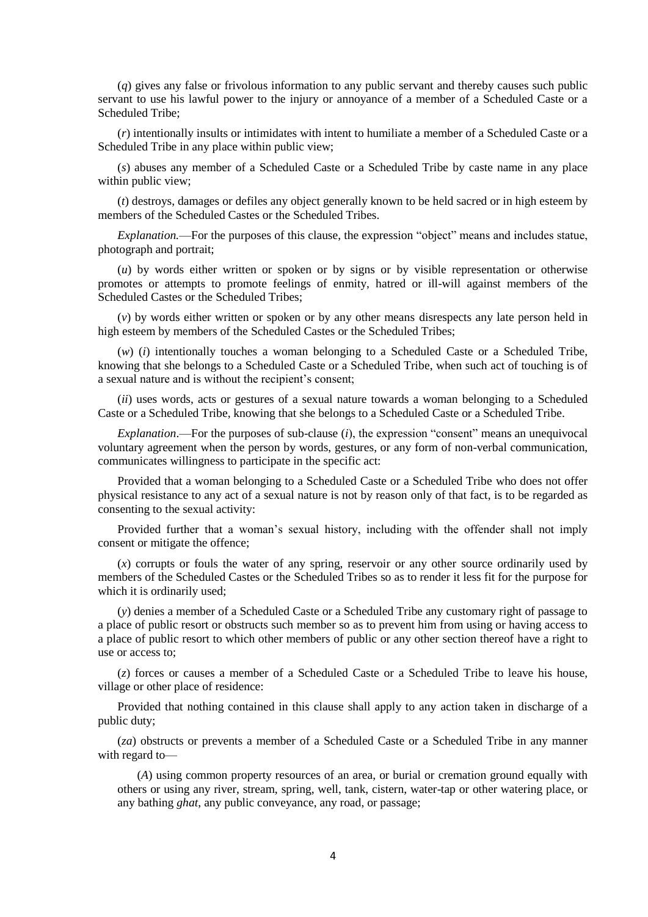(*q*) gives any false or frivolous information to any public servant and thereby causes such public servant to use his lawful power to the injury or annoyance of a member of a Scheduled Caste or a Scheduled Tribe;

(*r*) intentionally insults or intimidates with intent to humiliate a member of a Scheduled Caste or a Scheduled Tribe in any place within public view;

(*s*) abuses any member of a Scheduled Caste or a Scheduled Tribe by caste name in any place within public view;

(*t*) destroys, damages or defiles any object generally known to be held sacred or in high esteem by members of the Scheduled Castes or the Scheduled Tribes.

*Explanation.*—For the purposes of this clause, the expression "object" means and includes statue, photograph and portrait;

(*u*) by words either written or spoken or by signs or by visible representation or otherwise promotes or attempts to promote feelings of enmity, hatred or ill-will against members of the Scheduled Castes or the Scheduled Tribes;

(*v*) by words either written or spoken or by any other means disrespects any late person held in high esteem by members of the Scheduled Castes or the Scheduled Tribes;

(*w*) (*i*) intentionally touches a woman belonging to a Scheduled Caste or a Scheduled Tribe, knowing that she belongs to a Scheduled Caste or a Scheduled Tribe, when such act of touching is of a sexual nature and is without the recipient's consent;

(*ii*) uses words, acts or gestures of a sexual nature towards a woman belonging to a Scheduled Caste or a Scheduled Tribe, knowing that she belongs to a Scheduled Caste or a Scheduled Tribe.

*Explanation*.—For the purposes of sub-clause  $(i)$ , the expression "consent" means an unequivocal voluntary agreement when the person by words, gestures, or any form of non-verbal communication, communicates willingness to participate in the specific act:

Provided that a woman belonging to a Scheduled Caste or a Scheduled Tribe who does not offer physical resistance to any act of a sexual nature is not by reason only of that fact, is to be regarded as consenting to the sexual activity:

Provided further that a woman's sexual history, including with the offender shall not imply consent or mitigate the offence;

(*x*) corrupts or fouls the water of any spring, reservoir or any other source ordinarily used by members of the Scheduled Castes or the Scheduled Tribes so as to render it less fit for the purpose for which it is ordinarily used;

(*y*) denies a member of a Scheduled Caste or a Scheduled Tribe any customary right of passage to a place of public resort or obstructs such member so as to prevent him from using or having access to a place of public resort to which other members of public or any other section thereof have a right to use or access to;

(*z*) forces or causes a member of a Scheduled Caste or a Scheduled Tribe to leave his house, village or other place of residence:

Provided that nothing contained in this clause shall apply to any action taken in discharge of a public duty;

(*za*) obstructs or prevents a member of a Scheduled Caste or a Scheduled Tribe in any manner with regard to—

(*A*) using common property resources of an area, or burial or cremation ground equally with others or using any river, stream, spring, well, tank, cistern, water-tap or other watering place, or any bathing *ghat*, any public conveyance, any road, or passage;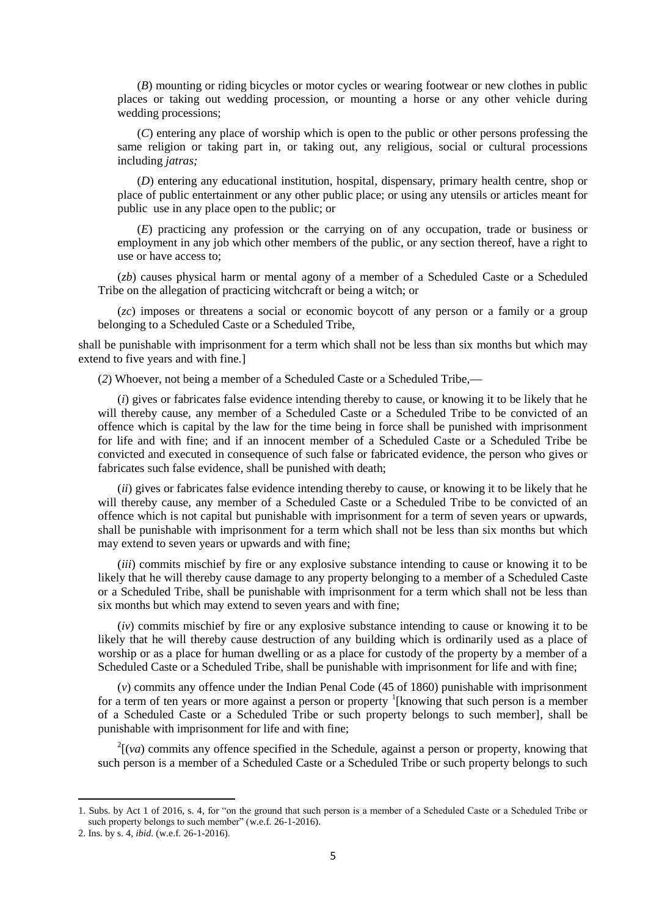(*B*) mounting or riding bicycles or motor cycles or wearing footwear or new clothes in public places or taking out wedding procession, or mounting a horse or any other vehicle during wedding processions;

(*C*) entering any place of worship which is open to the public or other persons professing the same religion or taking part in, or taking out, any religious, social or cultural processions including *jatras;*

(*D*) entering any educational institution, hospital, dispensary, primary health centre, shop or place of public entertainment or any other public place; or using any utensils or articles meant for public use in any place open to the public; or

(*E*) practicing any profession or the carrying on of any occupation, trade or business or employment in any job which other members of the public, or any section thereof, have a right to use or have access to;

(*zb*) causes physical harm or mental agony of a member of a Scheduled Caste or a Scheduled Tribe on the allegation of practicing witchcraft or being a witch; or

(*zc*) imposes or threatens a social or economic boycott of any person or a family or a group belonging to a Scheduled Caste or a Scheduled Tribe,

shall be punishable with imprisonment for a term which shall not be less than six months but which may extend to five years and with fine.]

(*2*) Whoever, not being a member of a Scheduled Caste or a Scheduled Tribe,**—**

(*i*) gives or fabricates false evidence intending thereby to cause, or knowing it to be likely that he will thereby cause, any member of a Scheduled Caste or a Scheduled Tribe to be convicted of an offence which is capital by the law for the time being in force shall be punished with imprisonment for life and with fine; and if an innocent member of a Scheduled Caste or a Scheduled Tribe be convicted and executed in consequence of such false or fabricated evidence, the person who gives or fabricates such false evidence, shall be punished with death;

(*ii*) gives or fabricates false evidence intending thereby to cause, or knowing it to be likely that he will thereby cause, any member of a Scheduled Caste or a Scheduled Tribe to be convicted of an offence which is not capital but punishable with imprisonment for a term of seven years or upwards, shall be punishable with imprisonment for a term which shall not be less than six months but which may extend to seven years or upwards and with fine;

(*iii*) commits mischief by fire or any explosive substance intending to cause or knowing it to be likely that he will thereby cause damage to any property belonging to a member of a Scheduled Caste or a Scheduled Tribe, shall be punishable with imprisonment for a term which shall not be less than six months but which may extend to seven years and with fine;

(*iv*) commits mischief by fire or any explosive substance intending to cause or knowing it to be likely that he will thereby cause destruction of any building which is ordinarily used as a place of worship or as a place for human dwelling or as a place for custody of the property by a member of a Scheduled Caste or a Scheduled Tribe, shall be punishable with imprisonment for life and with fine;

(*v*) commits any offence under the Indian Penal Code (45 of 1860) punishable with imprisonment for a term of ten years or more against a person or property  $\frac{1}{2}$ [knowing that such person is a member of a Scheduled Caste or a Scheduled Tribe or such property belongs to such member], shall be punishable with imprisonment for life and with fine;

 $2\left[\nu a\right]$  commits any offence specified in the Schedule, against a person or property, knowing that such person is a member of a Scheduled Caste or a Scheduled Tribe or such property belongs to such

<sup>1.</sup> Subs. by Act 1 of 2016, s. 4, for "on the ground that such person is a member of a Scheduled Caste or a Scheduled Tribe or such property belongs to such member" (w.e.f. 26-1-2016).

<sup>2.</sup> Ins. by s. 4, *ibid*. (w.e.f. 26-1-2016).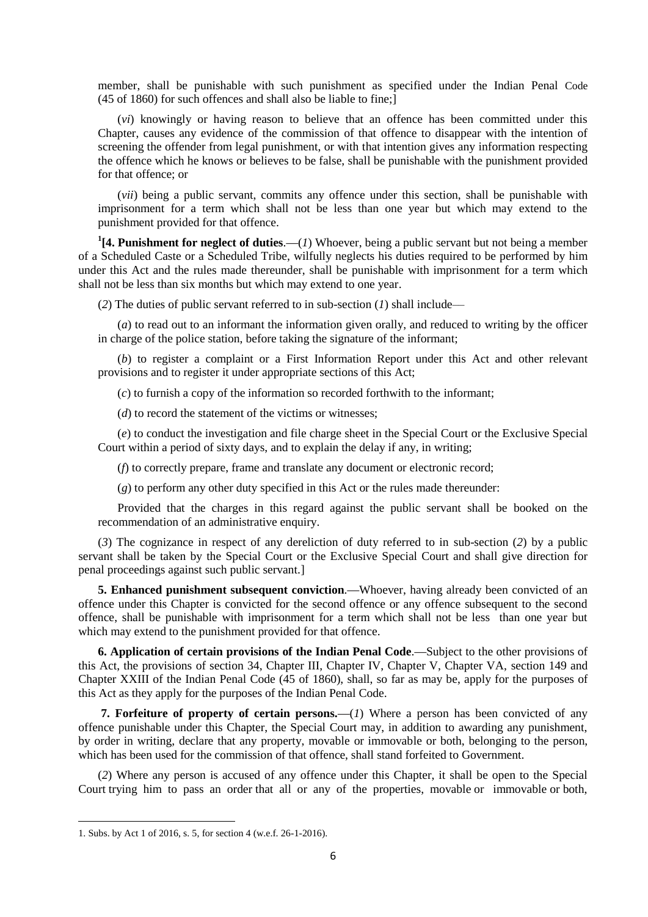member, shall be punishable with such punishment as specified under the Indian Penal Code (45 of 1860) for such offences and shall also be liable to fine;]

(*vi*) knowingly or having reason to believe that an offence has been committed under this Chapter, causes any evidence of the commission of that offence to disappear with the intention of screening the offender from legal punishment, or with that intention gives any information respecting the offence which he knows or believes to be false, shall be punishable with the punishment provided for that offence; or

(*vii*) being a public servant, commits any offence under this section, shall be punishable with imprisonment for a term which shall not be less than one year but which may extend to the punishment provided for that offence.

**1 [4. Punishment for neglect of duties**.**—**(*1*) Whoever, being a public servant but not being a member of a Scheduled Caste or a Scheduled Tribe, wilfully neglects his duties required to be performed by him under this Act and the rules made thereunder, shall be punishable with imprisonment for a term which shall not be less than six months but which may extend to one year.

(*2*) The duties of public servant referred to in sub-section (*1*) shall include––

(*a*) to read out to an informant the information given orally, and reduced to writing by the officer in charge of the police station, before taking the signature of the informant;

(*b*) to register a complaint or a First Information Report under this Act and other relevant provisions and to register it under appropriate sections of this Act;

(*c*) to furnish a copy of the information so recorded forthwith to the informant;

(*d*) to record the statement of the victims or witnesses;

(*e*) to conduct the investigation and file charge sheet in the Special Court or the Exclusive Special Court within a period of sixty days, and to explain the delay if any, in writing;

(*f*) to correctly prepare, frame and translate any document or electronic record;

(*g*) to perform any other duty specified in this Act or the rules made thereunder:

Provided that the charges in this regard against the public servant shall be booked on the recommendation of an administrative enquiry.

(*3*) The cognizance in respect of any dereliction of duty referred to in sub-section (*2*) by a public servant shall be taken by the Special Court or the Exclusive Special Court and shall give direction for penal proceedings against such public servant.]

**5. Enhanced punishment subsequent conviction**.**—**Whoever, having already been convicted of an offence under this Chapter is convicted for the second offence or any offence subsequent to the second offence, shall be punishable with imprisonment for a term which shall not be less than one year but which may extend to the punishment provided for that offence.

**6. Application of certain provisions of the Indian Penal Code**.**—**Subject to the other provisions of this Act, the provisions of section 34, Chapter III, Chapter IV, Chapter V, Chapter VA, section 149 and Chapter XXIII of the Indian Penal Code (45 of 1860), shall, so far as may be, apply for the purposes of this Act as they apply for the purposes of the Indian Penal Code.

**7. Forfeiture of property of certain persons.—(***1***) Where a person has been convicted of any** offence punishable under this Chapter, the Special Court may, in addition to awarding any punishment, by order in writing, declare that any property, movable or immovable or both, belonging to the person, which has been used for the commission of that offence, shall stand forfeited to Government.

(*2*) Where any person is accused of any offence under this Chapter, it shall be open to the Special Court trying him to pass an order that all or any of the properties, movable or immovable or both,

<sup>1.</sup> Subs. by Act 1 of 2016, s. 5, for section 4 (w.e.f. 26-1-2016).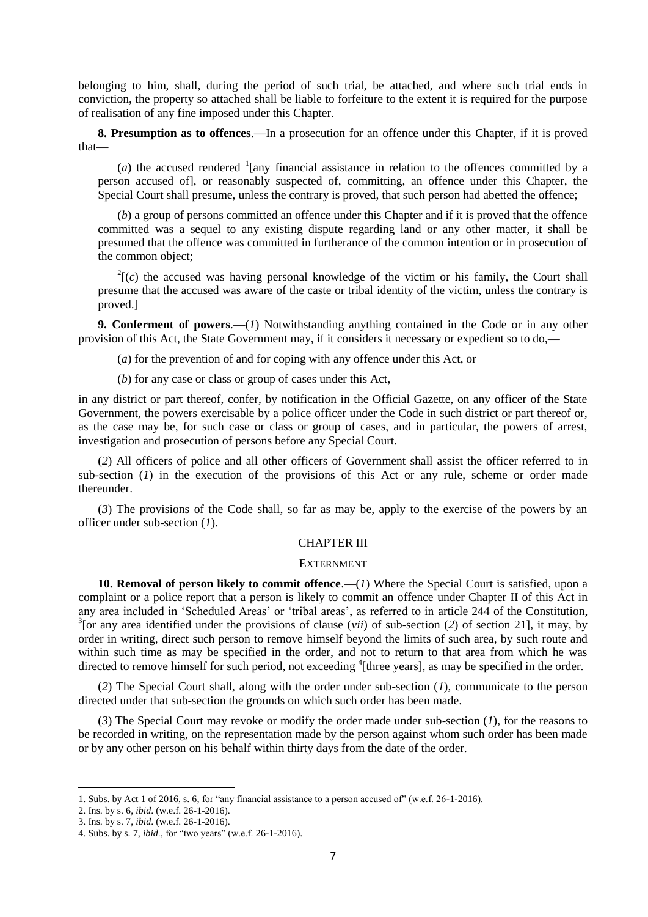belonging to him, shall, during the period of such trial, be attached, and where such trial ends in conviction, the property so attached shall be liable to forfeiture to the extent it is required for the purpose of realisation of any fine imposed under this Chapter.

**8. Presumption as to offences**.**—**In a prosecution for an offence under this Chapter, if it is proved that**—**

(*a*) the accused rendered  $\frac{1}{2}$  [any financial assistance in relation to the offences committed by a person accused of], or reasonably suspected of, committing, an offence under this Chapter, the Special Court shall presume, unless the contrary is proved, that such person had abetted the offence;

(*b*) a group of persons committed an offence under this Chapter and if it is proved that the offence committed was a sequel to any existing dispute regarding land or any other matter, it shall be presumed that the offence was committed in furtherance of the common intention or in prosecution of the common object;

 $2(c)$  the accused was having personal knowledge of the victim or his family, the Court shall presume that the accused was aware of the caste or tribal identity of the victim, unless the contrary is proved.]

**9. Conferment of powers**.**—**(*1*) Notwithstanding anything contained in the Code or in any other provision of this Act, the State Government may, if it considers it necessary or expedient so to do,**—**

(*a*) for the prevention of and for coping with any offence under this Act, or

(*b*) for any case or class or group of cases under this Act,

in any district or part thereof, confer, by notification in the Official Gazette, on any officer of the State Government, the powers exercisable by a police officer under the Code in such district or part thereof or, as the case may be, for such case or class or group of cases, and in particular, the powers of arrest, investigation and prosecution of persons before any Special Court.

(*2*) All officers of police and all other officers of Government shall assist the officer referred to in sub-section  $(I)$  in the execution of the provisions of this Act or any rule, scheme or order made thereunder.

(*3*) The provisions of the Code shall, so far as may be, apply to the exercise of the powers by an officer under sub-section (*1*).

## CHAPTER III

#### **EXTERNMENT**

**10. Removal of person likely to commit offence.—(***1***) Where the Special Court is satisfied, upon a** complaint or a police report that a person is likely to commit an offence under Chapter II of this Act in any area included in 'Scheduled Areas' or 'tribal areas', as referred to in article 244 of the Constitution,  $3$ [or any area identified under the provisions of clause (*vii*) of sub-section (2) of section 21], it may, by order in writing, direct such person to remove himself beyond the limits of such area, by such route and within such time as may be specified in the order, and not to return to that area from which he was directed to remove himself for such period, not exceeding <sup>4</sup>[three years], as may be specified in the order.

(*2*) The Special Court shall, along with the order under sub-section (*1*), communicate to the person directed under that sub-section the grounds on which such order has been made.

(*3*) The Special Court may revoke or modify the order made under sub-section (*1*), for the reasons to be recorded in writing, on the representation made by the person against whom such order has been made or by any other person on his behalf within thirty days from the date of the order.

<sup>1.</sup> Subs. by Act 1 of 2016, s. 6, for "any financial assistance to a person accused of" (w.e.f.  $26-1-2016$ ).

<sup>2.</sup> Ins. by s. 6, *ibid*. (w.e.f. 26-1-2016).

<sup>3.</sup> Ins. by s. 7, *ibid*. (w.e.f. 26-1-2016).

<sup>4.</sup> Subs. by s. 7, *ibid.*, for "two years" (w.e.f. 26-1-2016).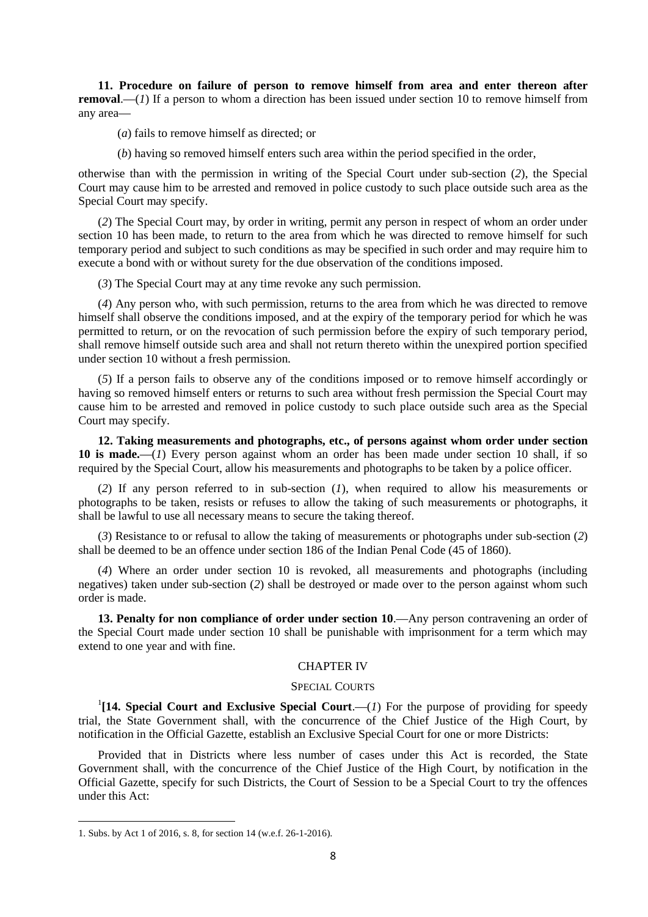**11. Procedure on failure of person to remove himself from area and enter thereon after removal.**—(*1*) If a person to whom a direction has been issued under section 10 to remove himself from any area**—**

(*a*) fails to remove himself as directed; or

(*b*) having so removed himself enters such area within the period specified in the order,

otherwise than with the permission in writing of the Special Court under sub-section (*2*), the Special Court may cause him to be arrested and removed in police custody to such place outside such area as the Special Court may specify.

(*2*) The Special Court may, by order in writing, permit any person in respect of whom an order under section 10 has been made, to return to the area from which he was directed to remove himself for such temporary period and subject to such conditions as may be specified in such order and may require him to execute a bond with or without surety for the due observation of the conditions imposed.

(*3*) The Special Court may at any time revoke any such permission.

(*4*) Any person who, with such permission, returns to the area from which he was directed to remove himself shall observe the conditions imposed, and at the expiry of the temporary period for which he was permitted to return, or on the revocation of such permission before the expiry of such temporary period, shall remove himself outside such area and shall not return thereto within the unexpired portion specified under section 10 without a fresh permission.

(*5*) If a person fails to observe any of the conditions imposed or to remove himself accordingly or having so removed himself enters or returns to such area without fresh permission the Special Court may cause him to be arrested and removed in police custody to such place outside such area as the Special Court may specify.

**12. Taking measurements and photographs, etc., of persons against whom order under section 10 is made.—**(*1*) Every person against whom an order has been made under section 10 shall, if so required by the Special Court, allow his measurements and photographs to be taken by a police officer.

(*2*) If any person referred to in sub-section (*1*), when required to allow his measurements or photographs to be taken, resists or refuses to allow the taking of such measurements or photographs, it shall be lawful to use all necessary means to secure the taking thereof.

(*3*) Resistance to or refusal to allow the taking of measurements or photographs under sub-section (*2*) shall be deemed to be an offence under section 186 of the Indian Penal Code (45 of 1860).

(*4*) Where an order under section 10 is revoked, all measurements and photographs (including negatives) taken under sub-section (*2*) shall be destroyed or made over to the person against whom such order is made.

**13. Penalty for non compliance of order under section 10**.**—**Any person contravening an order of the Special Court made under section 10 shall be punishable with imprisonment for a term which may extend to one year and with fine.

#### CHAPTER IV

#### SPECIAL COURTS

<sup>1</sup>[14. Special Court and Exclusive Special Court.—(1) For the purpose of providing for speedy trial, the State Government shall, with the concurrence of the Chief Justice of the High Court, by notification in the Official Gazette, establish an Exclusive Special Court for one or more Districts:

Provided that in Districts where less number of cases under this Act is recorded, the State Government shall, with the concurrence of the Chief Justice of the High Court, by notification in the Official Gazette, specify for such Districts, the Court of Session to be a Special Court to try the offences under this Act:

<sup>1.</sup> Subs. by Act 1 of 2016, s. 8, for section 14 (w.e.f. 26-1-2016).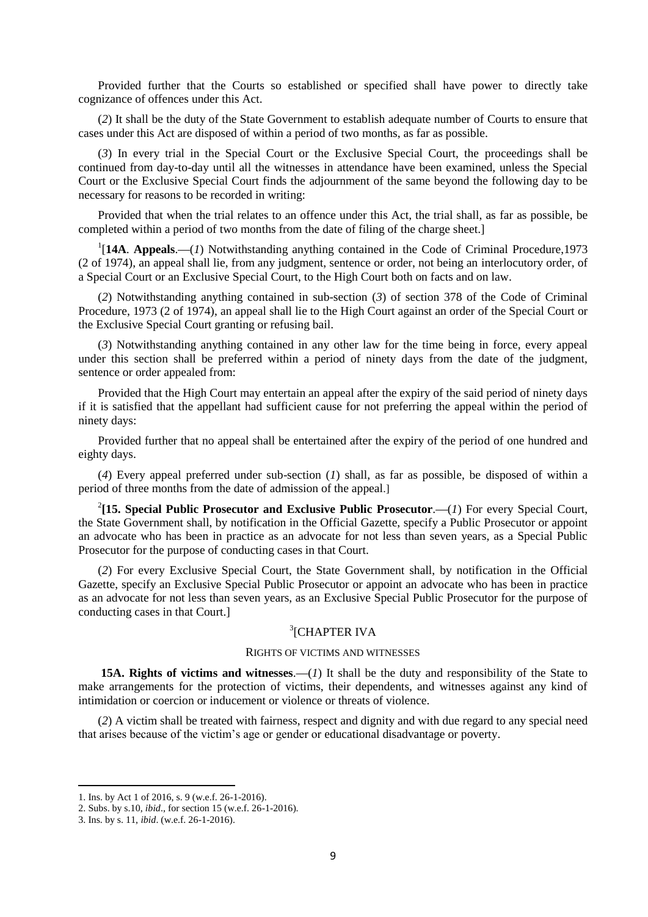Provided further that the Courts so established or specified shall have power to directly take cognizance of offences under this Act.

(*2*) It shall be the duty of the State Government to establish adequate number of Courts to ensure that cases under this Act are disposed of within a period of two months, as far as possible.

(*3*) In every trial in the Special Court or the Exclusive Special Court, the proceedings shall be continued from day-to-day until all the witnesses in attendance have been examined, unless the Special Court or the Exclusive Special Court finds the adjournment of the same beyond the following day to be necessary for reasons to be recorded in writing:

Provided that when the trial relates to an offence under this Act, the trial shall, as far as possible, be completed within a period of two months from the date of filing of the charge sheet.]

<sup>1</sup>[14A. Appeals.—(1) Notwithstanding anything contained in the Code of Criminal Procedure,1973 (2 of 1974), an appeal shall lie, from any judgment, sentence or order, not being an interlocutory order, of a Special Court or an Exclusive Special Court, to the High Court both on facts and on law.

(*2*) Notwithstanding anything contained in sub-section (*3*) of section 378 of the Code of Criminal Procedure, 1973 (2 of 1974), an appeal shall lie to the High Court against an order of the Special Court or the Exclusive Special Court granting or refusing bail.

(*3*) Notwithstanding anything contained in any other law for the time being in force, every appeal under this section shall be preferred within a period of ninety days from the date of the judgment, sentence or order appealed from:

Provided that the High Court may entertain an appeal after the expiry of the said period of ninety days if it is satisfied that the appellant had sufficient cause for not preferring the appeal within the period of ninety days:

Provided further that no appeal shall be entertained after the expiry of the period of one hundred and eighty days.

(*4*) Every appeal preferred under sub-section (*1*) shall, as far as possible, be disposed of within a period of three months from the date of admission of the appeal.]

2 **[15. Special Public Prosecutor and Exclusive Public Prosecutor**.**—**(*1*) For every Special Court, the State Government shall, by notification in the Official Gazette, specify a Public Prosecutor or appoint an advocate who has been in practice as an advocate for not less than seven years, as a Special Public Prosecutor for the purpose of conducting cases in that Court.

(*2*) For every Exclusive Special Court, the State Government shall, by notification in the Official Gazette, specify an Exclusive Special Public Prosecutor or appoint an advocate who has been in practice as an advocate for not less than seven years, as an Exclusive Special Public Prosecutor for the purpose of conducting cases in that Court.]

# 3 [CHAPTER IVA

# RIGHTS OF VICTIMS AND WITNESSES

**15A. Rights of victims and witnesses**.**—**(*1*) It shall be the duty and responsibility of the State to make arrangements for the protection of victims, their dependents, and witnesses against any kind of intimidation or coercion or inducement or violence or threats of violence.

(*2*) A victim shall be treated with fairness, respect and dignity and with due regard to any special need that arises because of the victim's age or gender or educational disadvantage or poverty.

1

<sup>1.</sup> Ins. by Act 1 of 2016, s. 9 (w.e.f. 26-1-2016).

<sup>2.</sup> Subs. by s.10, *ibid*., for section 15 (w.e.f. 26-1-2016).

<sup>3.</sup> Ins. by s. 11, *ibid*. (w.e.f. 26-1-2016).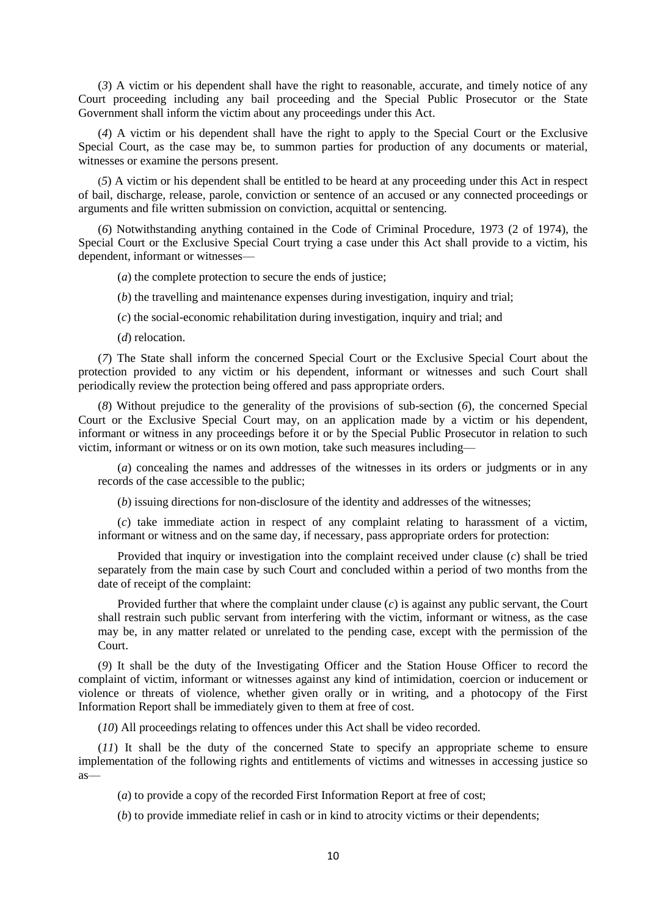(*3*) A victim or his dependent shall have the right to reasonable, accurate, and timely notice of any Court proceeding including any bail proceeding and the Special Public Prosecutor or the State Government shall inform the victim about any proceedings under this Act.

(*4*) A victim or his dependent shall have the right to apply to the Special Court or the Exclusive Special Court, as the case may be, to summon parties for production of any documents or material, witnesses or examine the persons present.

(*5*) A victim or his dependent shall be entitled to be heard at any proceeding under this Act in respect of bail, discharge, release, parole, conviction or sentence of an accused or any connected proceedings or arguments and file written submission on conviction, acquittal or sentencing.

(*6*) Notwithstanding anything contained in the Code of Criminal Procedure, 1973 (2 of 1974), the Special Court or the Exclusive Special Court trying a case under this Act shall provide to a victim, his dependent, informant or witnesses—

(*a*) the complete protection to secure the ends of justice;

(*b*) the travelling and maintenance expenses during investigation, inquiry and trial;

(*c*) the social-economic rehabilitation during investigation, inquiry and trial; and

(*d*) relocation.

(*7*) The State shall inform the concerned Special Court or the Exclusive Special Court about the protection provided to any victim or his dependent, informant or witnesses and such Court shall periodically review the protection being offered and pass appropriate orders.

(*8*) Without prejudice to the generality of the provisions of sub-section (*6*), the concerned Special Court or the Exclusive Special Court may, on an application made by a victim or his dependent, informant or witness in any proceedings before it or by the Special Public Prosecutor in relation to such victim, informant or witness or on its own motion, take such measures including––

(*a*) concealing the names and addresses of the witnesses in its orders or judgments or in any records of the case accessible to the public;

(*b*) issuing directions for non-disclosure of the identity and addresses of the witnesses;

(*c*) take immediate action in respect of any complaint relating to harassment of a victim, informant or witness and on the same day, if necessary, pass appropriate orders for protection:

Provided that inquiry or investigation into the complaint received under clause (*c*) shall be tried separately from the main case by such Court and concluded within a period of two months from the date of receipt of the complaint:

Provided further that where the complaint under clause (*c*) is against any public servant, the Court shall restrain such public servant from interfering with the victim, informant or witness, as the case may be, in any matter related or unrelated to the pending case, except with the permission of the Court.

(*9*) It shall be the duty of the Investigating Officer and the Station House Officer to record the complaint of victim, informant or witnesses against any kind of intimidation, coercion or inducement or violence or threats of violence, whether given orally or in writing, and a photocopy of the First Information Report shall be immediately given to them at free of cost.

(*10*) All proceedings relating to offences under this Act shall be video recorded.

(*11*) It shall be the duty of the concerned State to specify an appropriate scheme to ensure implementation of the following rights and entitlements of victims and witnesses in accessing justice so as––

(*a*) to provide a copy of the recorded First Information Report at free of cost;

(*b*) to provide immediate relief in cash or in kind to atrocity victims or their dependents;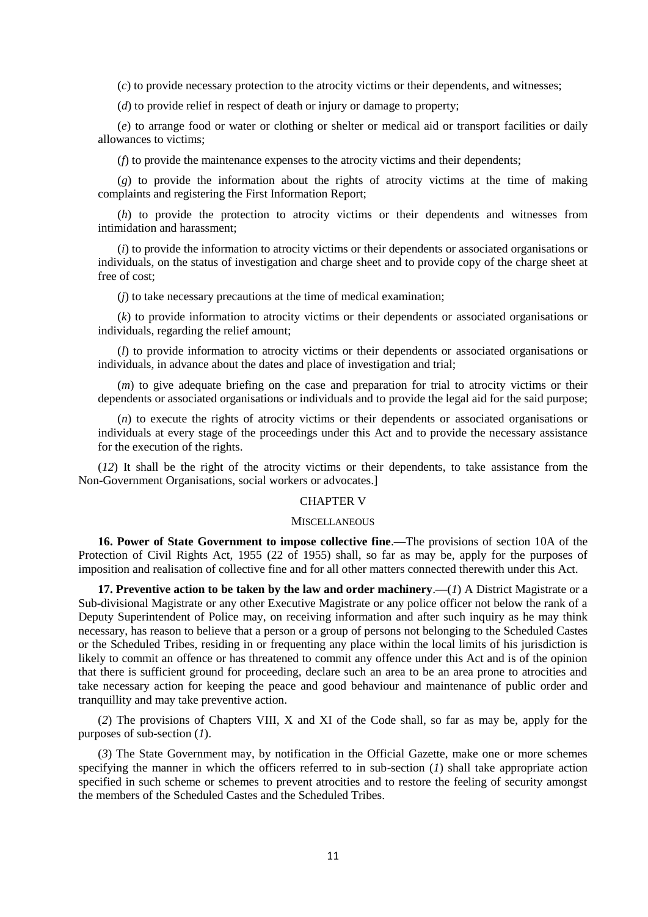(*c*) to provide necessary protection to the atrocity victims or their dependents, and witnesses;

(*d*) to provide relief in respect of death or injury or damage to property;

(*e*) to arrange food or water or clothing or shelter or medical aid or transport facilities or daily allowances to victims;

(*f*) to provide the maintenance expenses to the atrocity victims and their dependents;

(*g*) to provide the information about the rights of atrocity victims at the time of making complaints and registering the First Information Report;

(*h*) to provide the protection to atrocity victims or their dependents and witnesses from intimidation and harassment;

(*i*) to provide the information to atrocity victims or their dependents or associated organisations or individuals, on the status of investigation and charge sheet and to provide copy of the charge sheet at free of cost;

(*j*) to take necessary precautions at the time of medical examination;

(*k*) to provide information to atrocity victims or their dependents or associated organisations or individuals, regarding the relief amount;

(*l*) to provide information to atrocity victims or their dependents or associated organisations or individuals, in advance about the dates and place of investigation and trial;

(*m*) to give adequate briefing on the case and preparation for trial to atrocity victims or their dependents or associated organisations or individuals and to provide the legal aid for the said purpose;

(*n*) to execute the rights of atrocity victims or their dependents or associated organisations or individuals at every stage of the proceedings under this Act and to provide the necessary assistance for the execution of the rights.

(*12*) It shall be the right of the atrocity victims or their dependents, to take assistance from the Non-Government Organisations, social workers or advocates.]

## CHAPTER V

#### **MISCELLANEOUS**

**16. Power of State Government to impose collective fine**.**—**The provisions of section 10A of the Protection of Civil Rights Act, 1955 (22 of 1955) shall, so far as may be, apply for the purposes of imposition and realisation of collective fine and for all other matters connected therewith under this Act.

**17. Preventive action to be taken by the law and order machinery**.**—**(*1*) A District Magistrate or a Sub-divisional Magistrate or any other Executive Magistrate or any police officer not below the rank of a Deputy Superintendent of Police may, on receiving information and after such inquiry as he may think necessary, has reason to believe that a person or a group of persons not belonging to the Scheduled Castes or the Scheduled Tribes, residing in or frequenting any place within the local limits of his jurisdiction is likely to commit an offence or has threatened to commit any offence under this Act and is of the opinion that there is sufficient ground for proceeding, declare such an area to be an area prone to atrocities and take necessary action for keeping the peace and good behaviour and maintenance of public order and tranquillity and may take preventive action.

(*2*) The provisions of Chapters VIII, X and XI of the Code shall, so far as may be, apply for the purposes of sub-section (*1*).

(*3*) The State Government may, by notification in the Official Gazette, make one or more schemes specifying the manner in which the officers referred to in sub-section (*1*) shall take appropriate action specified in such scheme or schemes to prevent atrocities and to restore the feeling of security amongst the members of the Scheduled Castes and the Scheduled Tribes.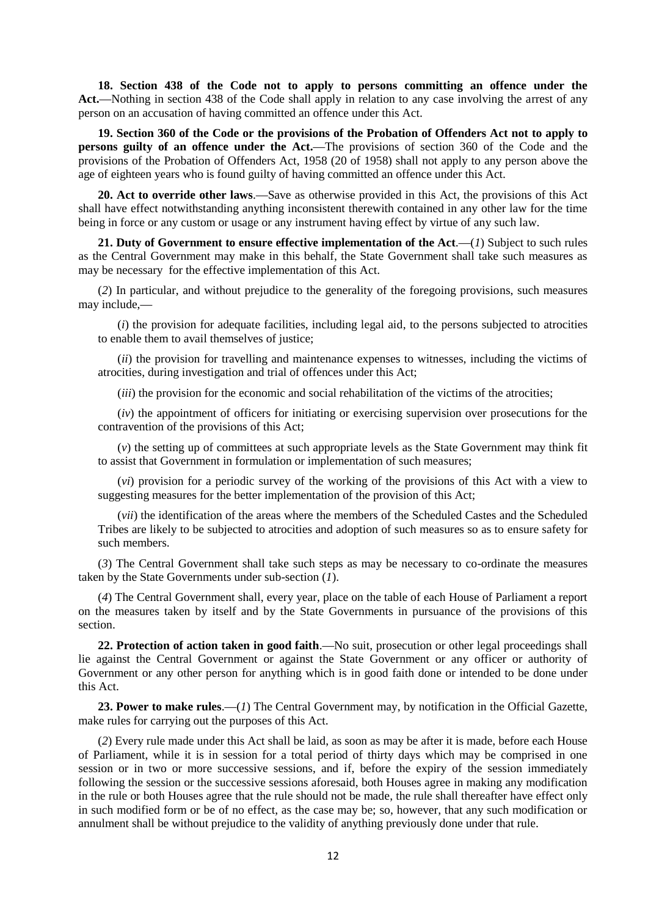**18. Section 438 of the Code not to apply to persons committing an offence under the**  Act.—Nothing in section 438 of the Code shall apply in relation to any case involving the arrest of any person on an accusation of having committed an offence under this Act.

**19. Section 360 of the Code or the provisions of the Probation of Offenders Act not to apply to persons guilty of an offence under the Act.—**The provisions of section 360 of the Code and the provisions of the Probation of Offenders Act, 1958 (20 of 1958) shall not apply to any person above the age of eighteen years who is found guilty of having committed an offence under this Act.

**20. Act to override other laws**.**—**Save as otherwise provided in this Act, the provisions of this Act shall have effect notwithstanding anything inconsistent therewith contained in any other law for the time being in force or any custom or usage or any instrument having effect by virtue of any such law.

**21. Duty of Government to ensure effective implementation of the Act**.**—**(*1*) Subject to such rules as the Central Government may make in this behalf, the State Government shall take such measures as may be necessary for the effective implementation of this Act.

(*2*) In particular, and without prejudice to the generality of the foregoing provisions, such measures may include,**—**

(*i*) the provision for adequate facilities, including legal aid, to the persons subjected to atrocities to enable them to avail themselves of justice;

(*ii*) the provision for travelling and maintenance expenses to witnesses, including the victims of atrocities, during investigation and trial of offences under this Act;

(*iii*) the provision for the economic and social rehabilitation of the victims of the atrocities;

(*iv*) the appointment of officers for initiating or exercising supervision over prosecutions for the contravention of the provisions of this Act;

(*v*) the setting up of committees at such appropriate levels as the State Government may think fit to assist that Government in formulation or implementation of such measures;

(*vi*) provision for a periodic survey of the working of the provisions of this Act with a view to suggesting measures for the better implementation of the provision of this Act;

(*vii*) the identification of the areas where the members of the Scheduled Castes and the Scheduled Tribes are likely to be subjected to atrocities and adoption of such measures so as to ensure safety for such members.

(*3*) The Central Government shall take such steps as may be necessary to co-ordinate the measures taken by the State Governments under sub-section (*1*).

(*4*) The Central Government shall, every year, place on the table of each House of Parliament a report on the measures taken by itself and by the State Governments in pursuance of the provisions of this section.

**22. Protection of action taken in good faith**.**—**No suit, prosecution or other legal proceedings shall lie against the Central Government or against the State Government or any officer or authority of Government or any other person for anything which is in good faith done or intended to be done under this Act.

**23. Power to make rules**.**—**(*1*) The Central Government may, by notification in the Official Gazette, make rules for carrying out the purposes of this Act.

(*2*) Every rule made under this Act shall be laid, as soon as may be after it is made, before each House of Parliament, while it is in session for a total period of thirty days which may be comprised in one session or in two or more successive sessions, and if, before the expiry of the session immediately following the session or the successive sessions aforesaid, both Houses agree in making any modification in the rule or both Houses agree that the rule should not be made, the rule shall thereafter have effect only in such modified form or be of no effect, as the case may be; so, however, that any such modification or annulment shall be without prejudice to the validity of anything previously done under that rule.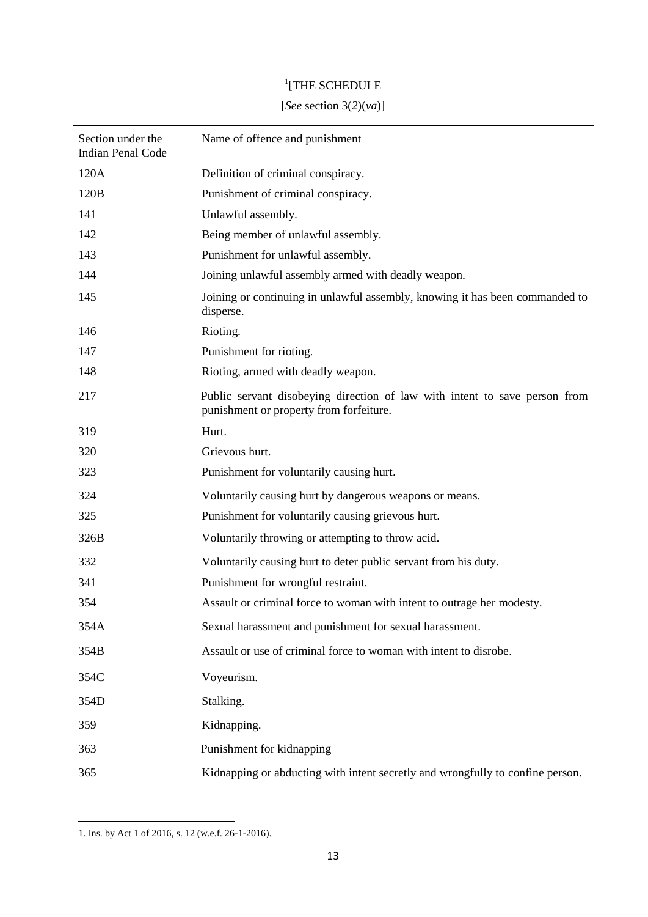# <sup>1</sup>[THE SCHEDULE

# [*See* section 3(*2*)(*va*)]

| Section under the<br><b>Indian Penal Code</b> | Name of offence and punishment                                                                                        |
|-----------------------------------------------|-----------------------------------------------------------------------------------------------------------------------|
| 120A                                          | Definition of criminal conspiracy.                                                                                    |
| 120B                                          | Punishment of criminal conspiracy.                                                                                    |
| 141                                           | Unlawful assembly.                                                                                                    |
| 142                                           | Being member of unlawful assembly.                                                                                    |
| 143                                           | Punishment for unlawful assembly.                                                                                     |
| 144                                           | Joining unlawful assembly armed with deadly weapon.                                                                   |
| 145                                           | Joining or continuing in unlawful assembly, knowing it has been commanded to<br>disperse.                             |
| 146                                           | Rioting.                                                                                                              |
| 147                                           | Punishment for rioting.                                                                                               |
| 148                                           | Rioting, armed with deadly weapon.                                                                                    |
| 217                                           | Public servant disobeying direction of law with intent to save person from<br>punishment or property from forfeiture. |
| 319                                           | Hurt.                                                                                                                 |
| 320                                           | Grievous hurt.                                                                                                        |
| 323                                           | Punishment for voluntarily causing hurt.                                                                              |
| 324                                           | Voluntarily causing hurt by dangerous weapons or means.                                                               |
| 325                                           | Punishment for voluntarily causing grievous hurt.                                                                     |
| 326B                                          | Voluntarily throwing or attempting to throw acid.                                                                     |
| 332                                           | Voluntarily causing hurt to deter public servant from his duty.                                                       |
| 341                                           | Punishment for wrongful restraint.                                                                                    |
| 354                                           | Assault or criminal force to woman with intent to outrage her modesty.                                                |
| 354A                                          | Sexual harassment and punishment for sexual harassment.                                                               |
| 354B                                          | Assault or use of criminal force to woman with intent to disrobe.                                                     |
| 354C                                          | Voyeurism.                                                                                                            |
| 354D                                          | Stalking.                                                                                                             |
| 359                                           | Kidnapping.                                                                                                           |
| 363                                           | Punishment for kidnapping                                                                                             |
| 365                                           | Kidnapping or abducting with intent secretly and wrongfully to confine person.                                        |

<sup>1.</sup> Ins. by Act 1 of 2016, s. 12 (w.e.f. 26-1-2016).